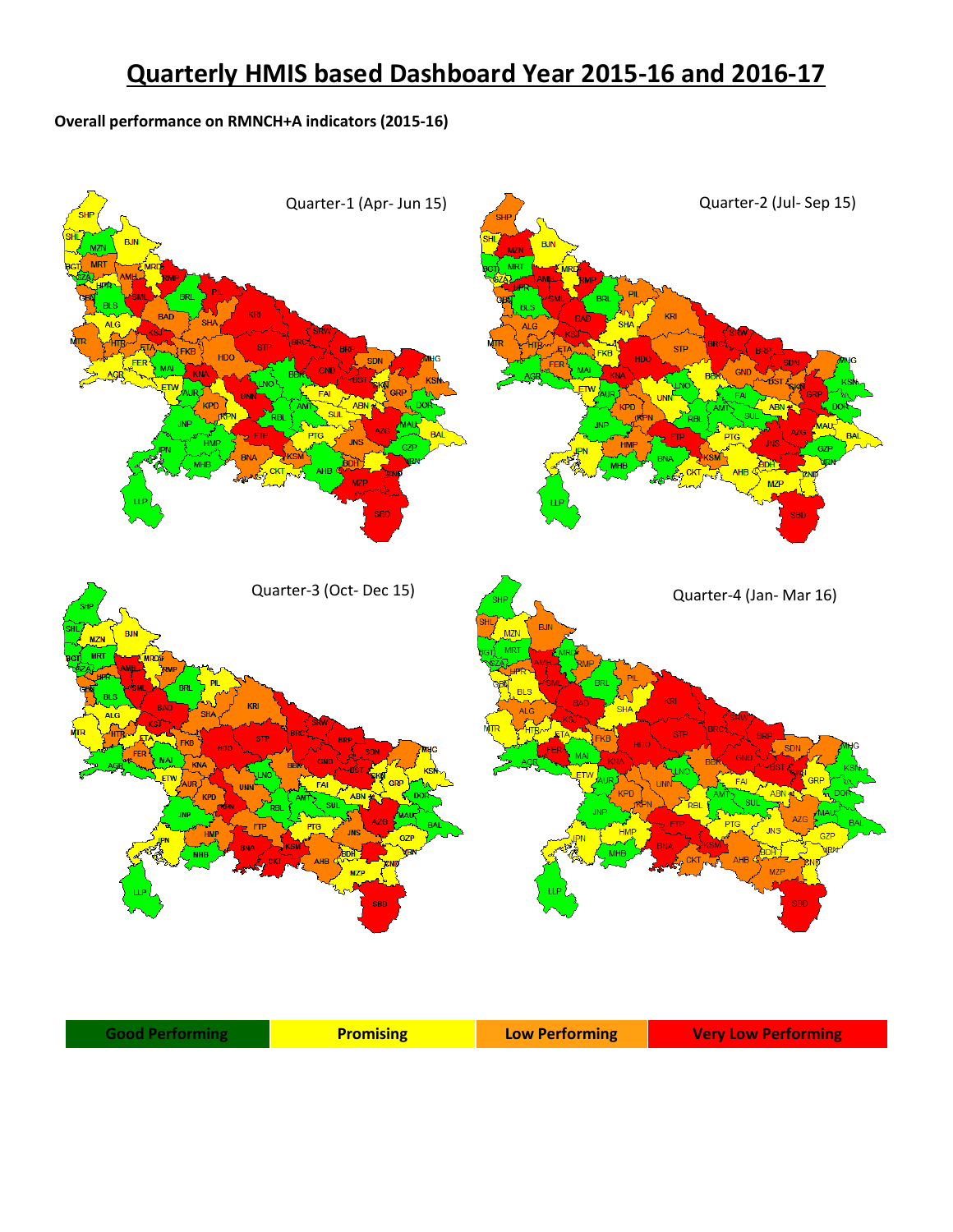## **Quarterly HMIS based Dashboard Year 2015-16 and 2016-17**

## **Overall performance on RMNCH+A indicators (2015-16)**

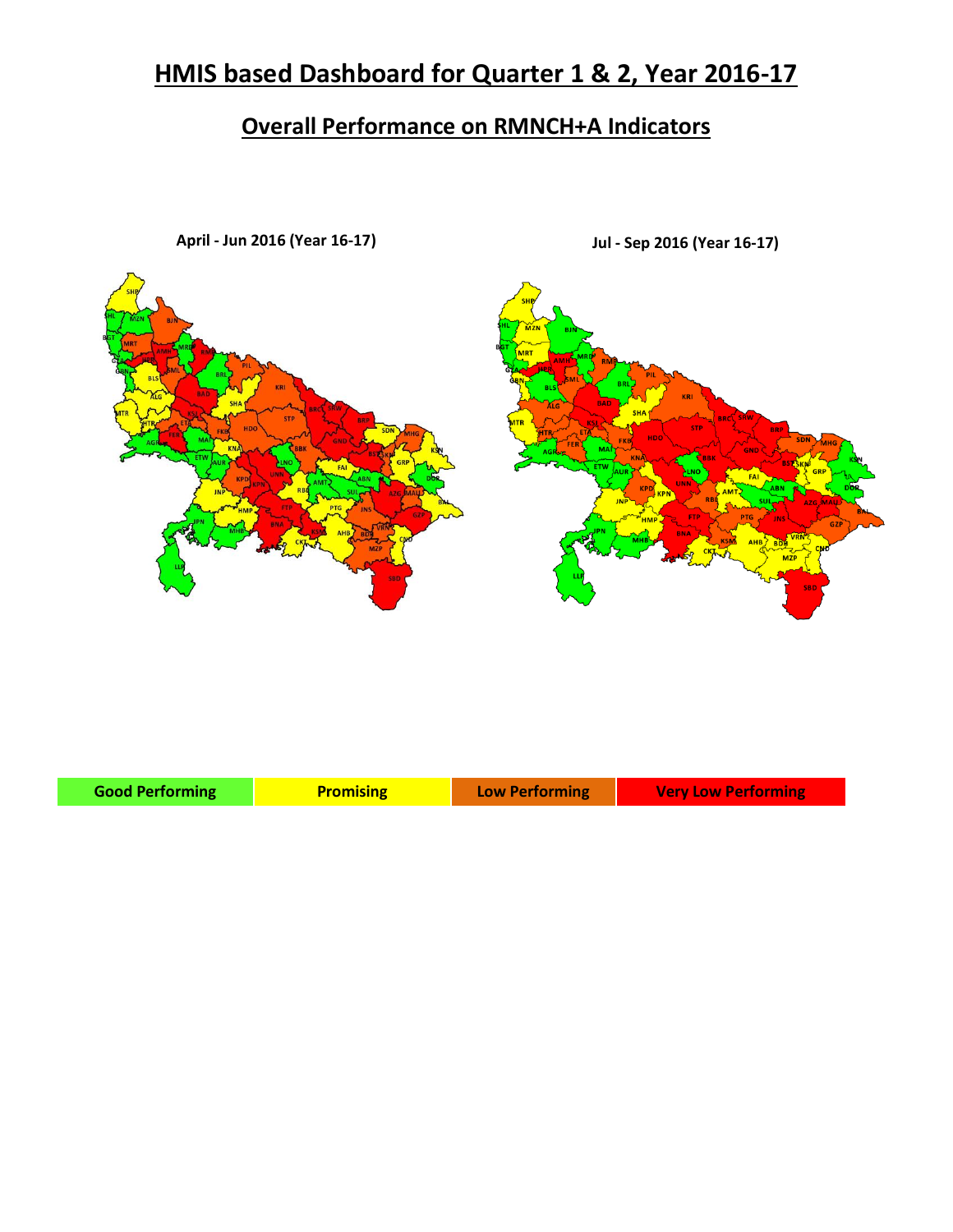## **HMIS based Dashboard for Quarter 1 & 2, Year 2016-17**

## **Overall Performance on RMNCH+A Indicators**



**April - Jun 2016 (Year 16-17) Jul - Sep 2016 (Year 16-17)**

| <b>Good Performing</b> | <b>Promising</b> | Low Performing | <b>Very Low Performing</b> |
|------------------------|------------------|----------------|----------------------------|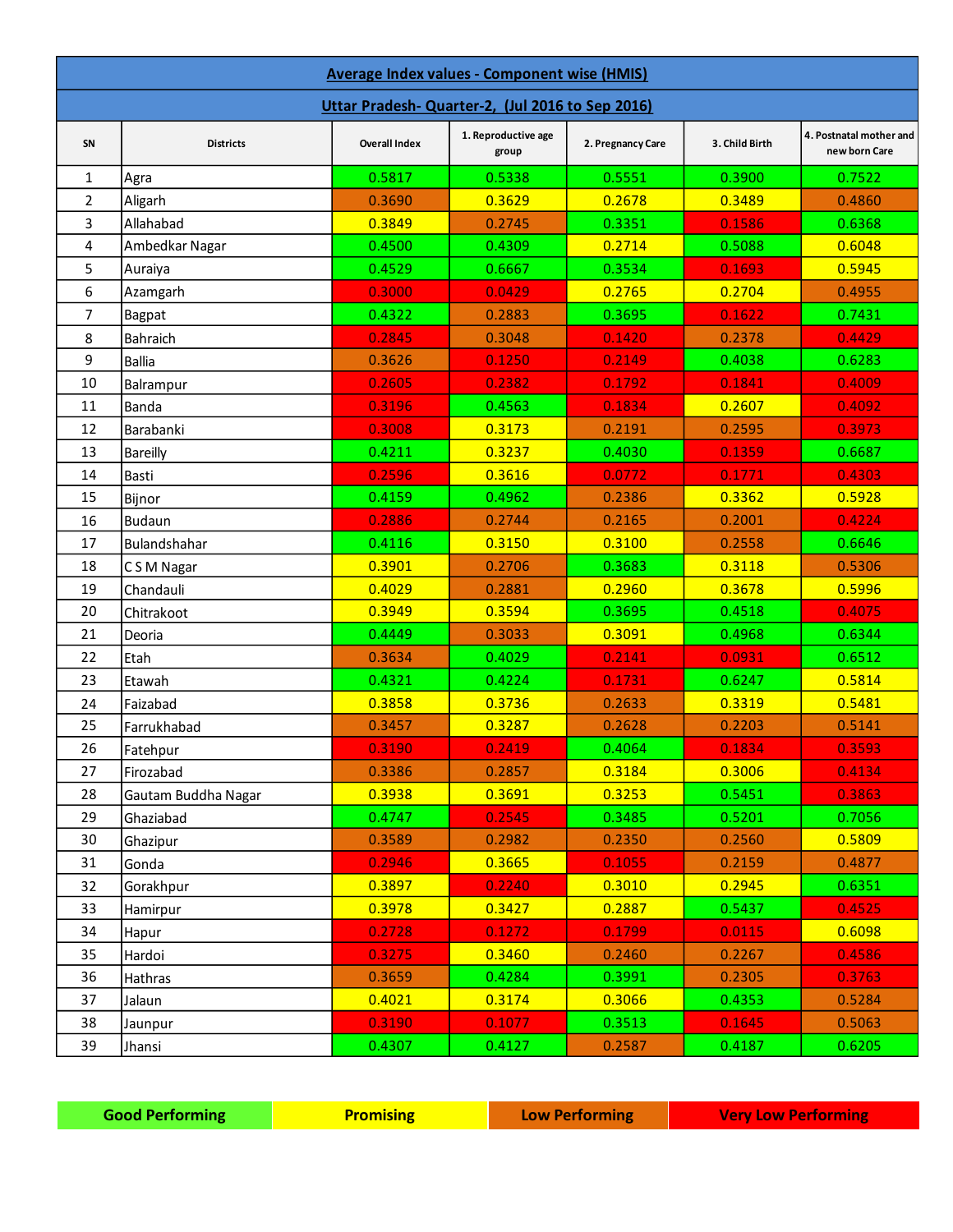| Average Index values - Component wise (HMIS)     |                     |                      |                              |                   |                |                                          |
|--------------------------------------------------|---------------------|----------------------|------------------------------|-------------------|----------------|------------------------------------------|
| Uttar Pradesh- Quarter-2, (Jul 2016 to Sep 2016) |                     |                      |                              |                   |                |                                          |
| SN                                               | <b>Districts</b>    | <b>Overall Index</b> | 1. Reproductive age<br>group | 2. Pregnancy Care | 3. Child Birth | 4. Postnatal mother and<br>new born Care |
| $\mathbf{1}$                                     | Agra                | 0.5817               | 0.5338                       | 0.5551            | 0.3900         | 0.7522                                   |
| $\overline{2}$                                   | Aligarh             | 0.3690               | 0.3629                       | 0.2678            | 0.3489         | 0.4860                                   |
| 3                                                | Allahabad           | 0.3849               | 0.2745                       | 0.3351            | 0.1586         | 0.6368                                   |
| 4                                                | Ambedkar Nagar      | 0.4500               | 0.4309                       | 0.2714            | 0.5088         | 0.6048                                   |
| 5                                                | Auraiya             | 0.4529               | 0.6667                       | 0.3534            | 0.1693         | 0.5945                                   |
| 6                                                | Azamgarh            | 0.3000               | 0.0429                       | 0.2765            | 0.2704         | 0.4955                                   |
| $\overline{7}$                                   | Bagpat              | 0.4322               | 0.2883                       | 0.3695            | 0.1622         | 0.7431                                   |
| 8                                                | Bahraich            | 0.2845               | 0.3048                       | 0.1420            | 0.2378         | 0.4429                                   |
| 9                                                | <b>Ballia</b>       | 0.3626               | 0.1250                       | 0.2149            | 0.4038         | 0.6283                                   |
| 10                                               | Balrampur           | 0.2605               | 0.2382                       | 0.1792            | 0.1841         | 0.4009                                   |
| 11                                               | Banda               | 0.3196               | 0.4563                       | 0.1834            | 0.2607         | 0.4092                                   |
| 12                                               | Barabanki           | 0.3008               | 0.3173                       | 0.2191            | 0.2595         | 0.3973                                   |
| 13                                               | <b>Bareilly</b>     | 0.4211               | 0.3237                       | 0.4030            | 0.1359         | 0.6687                                   |
| 14                                               | Basti               | 0.2596               | 0.3616                       | 0.0772            | 0.1771         | 0.4303                                   |
| 15                                               | Bijnor              | 0.4159               | 0.4962                       | 0.2386            | 0.3362         | 0.5928                                   |
| 16                                               | <b>Budaun</b>       | 0.2886               | 0.2744                       | 0.2165            | 0.2001         | 0.4224                                   |
| 17                                               | Bulandshahar        | 0.4116               | 0.3150                       | 0.3100            | 0.2558         | 0.6646                                   |
| 18                                               | CSM Nagar           | 0.3901               | 0.2706                       | 0.3683            | 0.3118         | 0.5306                                   |
| 19                                               | Chandauli           | 0.4029               | 0.2881                       | 0.2960            | 0.3678         | 0.5996                                   |
| 20                                               | Chitrakoot          | 0.3949               | 0.3594                       | 0.3695            | 0.4518         | 0.4075                                   |
| 21                                               | Deoria              | 0.4449               | 0.3033                       | 0.3091            | 0.4968         | 0.6344                                   |
| 22                                               | Etah                | 0.3634               | 0.4029                       | 0.2141            | 0.0931         | 0.6512                                   |
| 23                                               | Etawah              | 0.4321               | 0.4224                       | 0.1731            | 0.6247         | 0.5814                                   |
| 24                                               | Faizabad            | 0.3858               | 0.3736                       | 0.2633            | 0.3319         | 0.5481                                   |
| 25                                               | Farrukhabad         | 0.3457               | 0.3287                       | 0.2628            | 0.2203         | 0.5141                                   |
| 26                                               | Fatehpur            | 0.3190               | 0.2419                       | 0.4064            | 0.1834         | 0.3593                                   |
| 27                                               | Firozabad           | 0.3386               | 0.2857                       | 0.3184            | 0.3006         | 0.4134                                   |
| 28                                               | Gautam Buddha Nagar | 0.3938               | 0.3691                       | 0.3253            | 0.5451         | 0.3863                                   |
| 29                                               | Ghaziabad           | 0.4747               | 0.2545                       | 0.3485            | 0.5201         | 0.7056                                   |
| 30                                               | Ghazipur            | 0.3589               | 0.2982                       | 0.2350            | 0.2560         | 0.5809                                   |
| 31                                               | Gonda               | 0.2946               | 0.3665                       | 0.1055            | 0.2159         | 0.4877                                   |
| 32                                               | Gorakhpur           | 0.3897               | 0.2240                       | 0.3010            | 0.2945         | 0.6351                                   |
| 33                                               | Hamirpur            | 0.3978               | 0.3427                       | 0.2887            | 0.5437         | 0.4525                                   |
| 34                                               | Hapur               | 0.2728               | 0.1272                       | 0.1799            | 0.0115         | 0.6098                                   |
| 35                                               | Hardoi              | 0.3275               | 0.3460                       | 0.2460            | 0.2267         | 0.4586                                   |
| 36                                               | Hathras             | 0.3659               | 0.4284                       | 0.3991            | 0.2305         | 0.3763                                   |
| 37                                               | Jalaun              | 0.4021               | 0.3174                       | 0.3066            | 0.4353         | 0.5284                                   |
| 38                                               | Jaunpur             | 0.3190               | 0.1077                       | 0.3513            | 0.1645         | 0.5063                                   |
| 39                                               | Jhansi              | 0.4307               | 0.4127                       | 0.2587            | 0.4187         | 0.6205                                   |